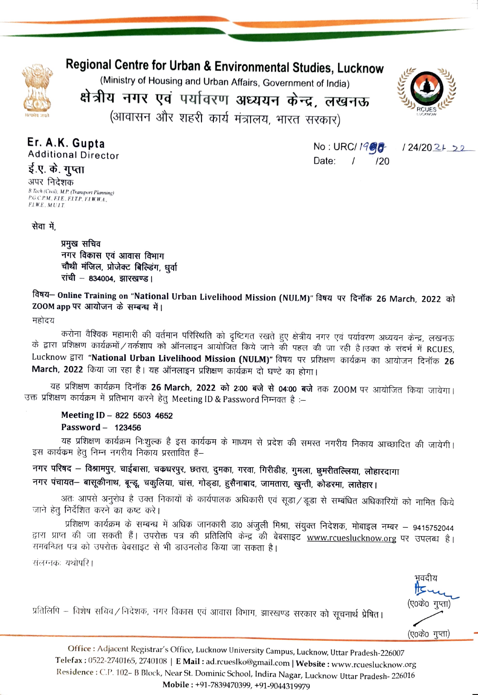

## Regional Centre for Urban & Environmental Studies, Lucknow

(Ministry of Housing and Urban Affairs, Government of India)

क्षेत्रीय नगर एवं पर्यावरण अध्ययन केन्द्र, लखनऊ (आवासन और शहरी कार्य मंत्रालय, भारत सरकार)



Er. A.K. Gupta

**Additional Director** 

ई.ए. के. गुप्ता अपर निदेशक B.Tech (Civil), M.P. (Transport Planning) P.G.C.P.M., F.I.E., F.I.T.P., F.I.W.W.A., **FLWE. MULT.** 

No: URC/ 1908 Date:  $\prime$  $120$ 

 $124/202+22$ 

सेवा में.

प्रमुख सचिव नगर विकास एवं आवास विभाग चौथी मंजिल, प्रोजेक्ट बिल्डिंग, धूर्वा रांची – 834004. झारखण्ड।

विषय- Online Training on "National Urban Livelihood Mission (NULM)" विषय पर दिनॉक 26 March, 2022 को ZOOM app पर आयोजन के सम्बन्ध में।

महोदय

करोना वैश्विक महामारी की वर्तमान परिस्थिति को दृष्टिगत रखते हुए क्षेत्रीय नगर एवं पर्यावरण अध्ययन केन्द्र, लखनऊ के द्वारा प्रशिक्षण कार्यक्रमों / वर्कशाप को ऑनलाइन आयोजित किये जाने की पहल की जा रही है।उक्त के संदर्भ में RCUES, Lucknow द्वारा "National Urban Livelihood Mission (NULM)" विषय पर प्रशिक्षण कार्यक्रम का आयोजन दिनॉक 26 March, 2022 किया जा रहा है। यह ऑनलाइन प्रशिक्षण कार्यक्रम दो घण्टे का होगा।

यह प्रशिक्षण कार्यक्रम दिनॉक 26 March, 2022 को 2:00 बजे से 04:00 बजे तक ZOOM पर आयोजित किया जायेगा। उक्त प्रशिक्षण कार्यक्रम में प्रतिभाग करने हेतु Meeting ID & Password निम्नवत है :–

Meeting ID - 822 5503 4652 Password - 123456

यह प्रशिक्षण कार्यक्रम निःशुल्क है इस कार्यक्रम के माध्यम से प्रदेश की समस्त नगरीय निकाय आच्छादित की जायेगी। इस कार्यक्रम हेतू निम्न नगरीय निकाय प्रस्तावित हैं–

नगर परिषद — विश्रामपुर, चाईबासा, चकधरपुर, छतरा, दुमका, गरवा, गिरीडीह, गुमला, छुमरीतल्लिया, लोहारदागा नगर पंचायत– बासूकीनाथ, बून्डू, चकुलिया, चांस, गोड्डा, हुसैनाबाद, जामतारा, खुन्ती, कोडरमा, लातेहार।

अतः आपसे अनुरोध है उक्त निकायों के कार्यपालक अधिकारी एवं सूडा ⁄ डूडा से सम्बंधित अधिकारियों को नामित किये जाने हेतू निर्देशित करने का कष्ट करे।

प्रशिक्षण कार्यक्रम के सम्बन्ध में अधिक जानकारी डा0 अंजुली मिश्रा, संयुक्त निदेशक, मोबाइल नम्बर – 9415752044 द्वारा प्राप्त की जा सकती हैं। उपरोक्त पत्र की प्रतिलिपि केन्द्र की बेबसाइट www.rcueslucknow.org पर उपलब्ध है। समवन्धित पत्र को उपरोक्त वेबसाइट से भी डाउनलोड किया जा सकता है।

संलग्नकः यथोपरि।

प्रतिलिपि – विशेष सचिव⁄ निदेशक, नगर विकास एवं आवास विभाग, झारखण्ड सरकार को सूचनार्थ प्रेषित।

भवदीय ļΙC (ए०के० गुप्ता) (ए०के० गुप्ता)

Office: Adjacent Registrar's Office, Lucknow University Campus, Lucknow, Uttar Pradesh-226007 Telefax: 0522-2740165, 2740108 | E Mail: ad.rcueslko@gmail.com | Website: www.rcueslucknow.org Residence: C.P. 102- B Block, Near St. Dominic School, Indira Nagar, Lucknow Uttar Pradesh-226016 Mobile: +91-7839470399, +91-9044319979